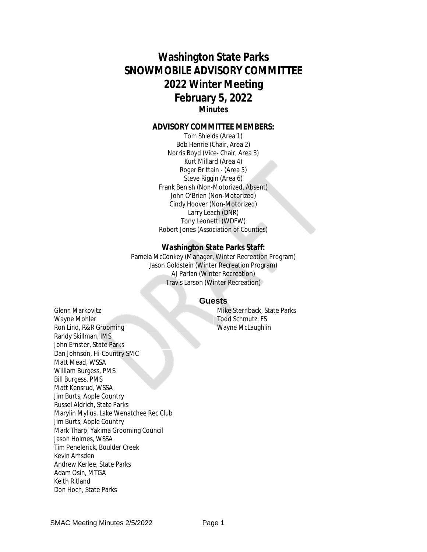# **Washington State Parks SNOWMOBILE ADVISORY COMMITTEE 2022 Winter Meeting February 5, 2022 Minutes**

### **ADVISORY COMMITTEE MEMBERS:**

Tom Shields (Area 1) Bob Henrie (Chair, Area 2) Norris Boyd (Vice- Chair, Area 3) Kurt Millard (Area 4) Roger Brittain - (Area 5) Steve Riggin (Area 6) Frank Benish (Non-Motorized, Absent) John O'Brien (Non-Motorized) Cindy Hoover (Non-Motorized) Larry Leach (DNR) Tony Leonetti (WDFW) Robert Jones (Association of Counties)

#### **Washington State Parks Staff:**

Pamela McConkey (Manager, Winter Recreation Program) Jason Goldstein (Winter Recreation Program) AJ Parlan (Winter Recreation) Travis Larson (Winter Recreation)

#### **Guests**

Mike Sternback, State Parks Todd Schmutz, FS Wayne McLaughlin

Glenn Markovitz Wayne Mohler Ron Lind, R&R Grooming Randy Skillman, IMS John Ernster, State Parks Dan Johnson, Hi-Country SMC Matt Mead, WSSA William Burgess, PMS Bill Burgess, PMS Matt Kensrud, WSSA Jim Burts, Apple Country Russel Aldrich, State Parks Marylin Mylius, Lake Wenatchee Rec Club Jim Burts, Apple Country Mark Tharp, Yakima Grooming Council Jason Holmes, WSSA Tim Penelerick, Boulder Creek Kevin Amsden Andrew Kerlee, State Parks Adam Osin, MTGA Keith Ritland Don Hoch, State Parks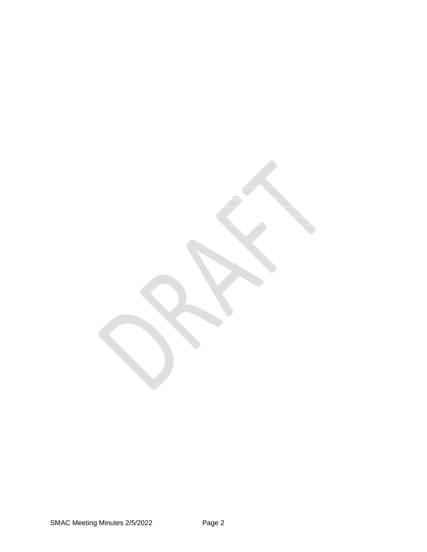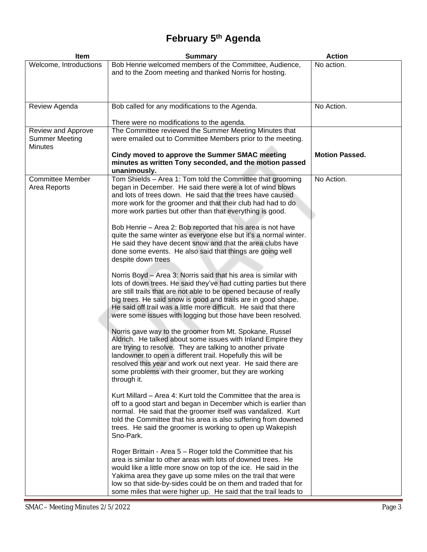## **February 5 th Agenda**

| Item                                                          | <b>Summary</b>                                                                                                                                                                                                                                                                                                                                                                                                                                                                                                     | <b>Action</b>         |
|---------------------------------------------------------------|--------------------------------------------------------------------------------------------------------------------------------------------------------------------------------------------------------------------------------------------------------------------------------------------------------------------------------------------------------------------------------------------------------------------------------------------------------------------------------------------------------------------|-----------------------|
| Welcome, Introductions                                        | Bob Henrie welcomed members of the Committee, Audience,<br>and to the Zoom meeting and thanked Norris for hosting.                                                                                                                                                                                                                                                                                                                                                                                                 | No action.            |
| Review Agenda                                                 | Bob called for any modifications to the Agenda.                                                                                                                                                                                                                                                                                                                                                                                                                                                                    | No Action.            |
|                                                               | There were no modifications to the agenda.                                                                                                                                                                                                                                                                                                                                                                                                                                                                         |                       |
| Review and Approve<br><b>Summer Meeting</b><br><b>Minutes</b> | The Committee reviewed the Summer Meeting Minutes that<br>were emailed out to Committee Members prior to the meeting.                                                                                                                                                                                                                                                                                                                                                                                              |                       |
|                                                               | Cindy moved to approve the Summer SMAC meeting<br>minutes as written Tony seconded, and the motion passed<br>unanimously.                                                                                                                                                                                                                                                                                                                                                                                          | <b>Motion Passed.</b> |
| <b>Committee Member</b><br>Area Reports                       | Tom Shields - Area 1: Tom told the Committee that grooming<br>began in December. He said there were a lot of wind blows<br>and lots of trees down. He said that the trees have caused<br>more work for the groomer and that their club had had to do<br>more work parties but other than that everything is good.<br>Bob Henrie – Area 2: Bob reported that his area is not have<br>quite the same winter as everyone else but it's a normal winter.<br>He said they have decent snow and that the area clubs have | No Action.            |
|                                                               | done some events. He also said that things are going well<br>despite down trees                                                                                                                                                                                                                                                                                                                                                                                                                                    |                       |
|                                                               | Norris Boyd - Area 3: Norris said that his area is similar with<br>lots of down trees. He said they've had cutting parties but there<br>are still trails that are not able to be opened because of really<br>big trees. He said snow is good and trails are in good shape.<br>He said off trail was a little more difficult. He said that there<br>were some issues with logging but those have been resolved.                                                                                                     |                       |
|                                                               | Norris gave way to the groomer from Mt. Spokane, Russel<br>Aldrich. He talked about some issues with Inland Empire they<br>are trying to resolve. They are talking to another private<br>landowner to open a different trail. Hopefully this will be<br>resolved this year and work out next year. He said there are<br>some problems with their groomer, but they are working<br>through it.                                                                                                                      |                       |
|                                                               | Kurt Millard – Area 4: Kurt told the Committee that the area is<br>off to a good start and began in December which is earlier than<br>normal. He said that the groomer itself was vandalized. Kurt<br>told the Committee that his area is also suffering from downed<br>trees. He said the groomer is working to open up Wakepish<br>Sno-Park.                                                                                                                                                                     |                       |
|                                                               | Roger Brittain - Area 5 – Roger told the Committee that his<br>area is similar to other areas with lots of downed trees. He<br>would like a little more snow on top of the ice. He said in the<br>Yakima area they gave up some miles on the trail that were<br>low so that side-by-sides could be on them and traded that for<br>some miles that were higher up. He said that the trail leads to                                                                                                                  |                       |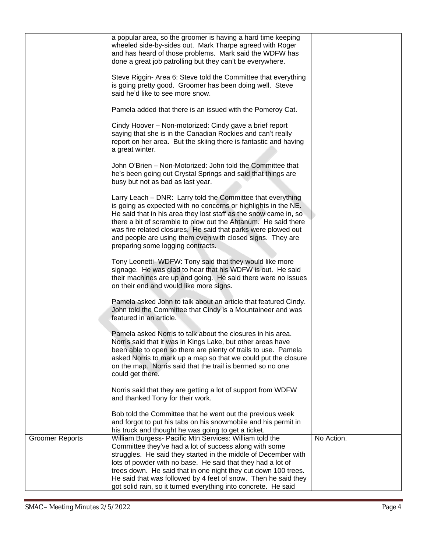|                        | a popular area, so the groomer is having a hard time keeping<br>wheeled side-by-sides out. Mark Tharpe agreed with Roger<br>and has heard of those problems. Mark said the WDFW has<br>done a great job patrolling but they can't be everywhere.                                                                                                                                                                                        |            |
|------------------------|-----------------------------------------------------------------------------------------------------------------------------------------------------------------------------------------------------------------------------------------------------------------------------------------------------------------------------------------------------------------------------------------------------------------------------------------|------------|
|                        | Steve Riggin- Area 6: Steve told the Committee that everything<br>is going pretty good. Groomer has been doing well. Steve<br>said he'd like to see more snow.                                                                                                                                                                                                                                                                          |            |
|                        | Pamela added that there is an issued with the Pomeroy Cat.                                                                                                                                                                                                                                                                                                                                                                              |            |
|                        | Cindy Hoover - Non-motorized: Cindy gave a brief report<br>saying that she is in the Canadian Rockies and can't really<br>report on her area. But the skiing there is fantastic and having<br>a great winter.                                                                                                                                                                                                                           |            |
|                        | John O'Brien - Non-Motorized: John told the Committee that<br>he's been going out Crystal Springs and said that things are<br>busy but not as bad as last year.                                                                                                                                                                                                                                                                         |            |
|                        | Larry Leach - DNR: Larry told the Committee that everything<br>is going as expected with no concerns or highlights in the NE.<br>He said that in his area they lost staff as the snow came in, so<br>there a bit of scramble to plow out the Ahtanum. He said there<br>was fire related closures. He said that parks were plowed out<br>and people are using them even with closed signs. They are<br>preparing some logging contracts. |            |
|                        | Tony Leonetti- WDFW: Tony said that they would like more<br>signage. He was glad to hear that his WDFW is out. He said<br>their machines are up and going. He said there were no issues<br>on their end and would like more signs.                                                                                                                                                                                                      |            |
|                        | Pamela asked John to talk about an article that featured Cindy.<br>John told the Committee that Cindy is a Mountaineer and was<br>featured in an article.                                                                                                                                                                                                                                                                               |            |
|                        | Pamela asked Norris to talk about the closures in his area.<br>Norris said that it was in Kings Lake, but other areas have<br>been able to open so there are plenty of trails to use. Pamela<br>asked Norris to mark up a map so that we could put the closure<br>on the map. Norris said that the trail is bermed so no one<br>could get there.                                                                                        |            |
|                        | Norris said that they are getting a lot of support from WDFW<br>and thanked Tony for their work.                                                                                                                                                                                                                                                                                                                                        |            |
|                        | Bob told the Committee that he went out the previous week<br>and forgot to put his tabs on his snowmobile and his permit in<br>his truck and thought he was going to get a ticket.                                                                                                                                                                                                                                                      |            |
| <b>Groomer Reports</b> | William Burgess- Pacific Mtn Services: William told the<br>Committee they've had a lot of success along with some<br>struggles. He said they started in the middle of December with<br>lots of powder with no base. He said that they had a lot of<br>trees down. He said that in one night they cut down 100 trees.<br>He said that was followed by 4 feet of snow. Then he said they                                                  | No Action. |
|                        | got solid rain, so it turned everything into concrete. He said                                                                                                                                                                                                                                                                                                                                                                          |            |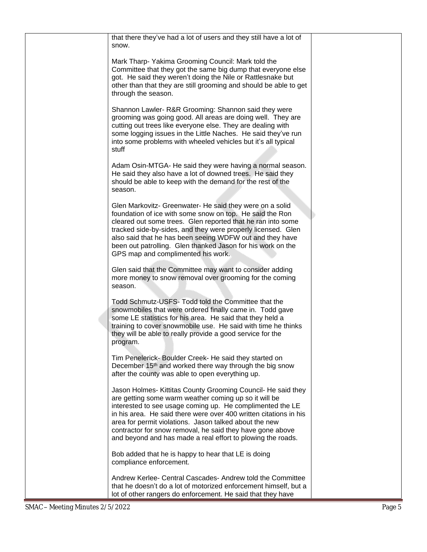| that there they've had a lot of users and they still have a lot of<br>snow.                                                                                                                                                                                                                                                                                                                                                                  |  |
|----------------------------------------------------------------------------------------------------------------------------------------------------------------------------------------------------------------------------------------------------------------------------------------------------------------------------------------------------------------------------------------------------------------------------------------------|--|
| Mark Tharp-Yakima Grooming Council: Mark told the<br>Committee that they got the same big dump that everyone else<br>got. He said they weren't doing the Nile or Rattlesnake but<br>other than that they are still grooming and should be able to get<br>through the season.                                                                                                                                                                 |  |
| Shannon Lawler- R&R Grooming: Shannon said they were<br>grooming was going good. All areas are doing well. They are<br>cutting out trees like everyone else. They are dealing with<br>some logging issues in the Little Naches. He said they've run<br>into some problems with wheeled vehicles but it's all typical<br>stuff                                                                                                                |  |
| Adam Osin-MTGA- He said they were having a normal season.<br>He said they also have a lot of downed trees. He said they<br>should be able to keep with the demand for the rest of the<br>season.                                                                                                                                                                                                                                             |  |
| Glen Markovitz- Greenwater- He said they were on a solid<br>foundation of ice with some snow on top. He said the Ron<br>cleared out some trees. Glen reported that he ran into some<br>tracked side-by-sides, and they were properly licensed. Glen<br>also said that he has been seeing WDFW out and they have<br>been out patrolling. Glen thanked Jason for his work on the<br>GPS map and complimented his work.                         |  |
| Glen said that the Committee may want to consider adding<br>more money to snow removal over grooming for the coming<br>season.                                                                                                                                                                                                                                                                                                               |  |
| Todd Schmutz-USFS- Todd told the Committee that the<br>snowmobiles that were ordered finally came in. Todd gave<br>some LE statistics for his area. He said that they held a<br>training to cover snowmobile use. He said with time he thinks<br>they will be able to really provide a good service for the<br>program.                                                                                                                      |  |
| Tim Penelerick-Boulder Creek-He said they started on<br>December 15 <sup>th</sup> and worked there way through the big snow<br>after the county was able to open everything up.                                                                                                                                                                                                                                                              |  |
| Jason Holmes-Kittitas County Grooming Council- He said they<br>are getting some warm weather coming up so it will be<br>interested to see usage coming up. He complimented the LE<br>in his area. He said there were over 400 written citations in his<br>area for permit violations. Jason talked about the new<br>contractor for snow removal, he said they have gone above<br>and beyond and has made a real effort to plowing the roads. |  |
| Bob added that he is happy to hear that LE is doing<br>compliance enforcement.                                                                                                                                                                                                                                                                                                                                                               |  |
| Andrew Kerlee- Central Cascades- Andrew told the Committee<br>that he doesn't do a lot of motorized enforcement himself, but a<br>lot of other rangers do enforcement. He said that they have                                                                                                                                                                                                                                                |  |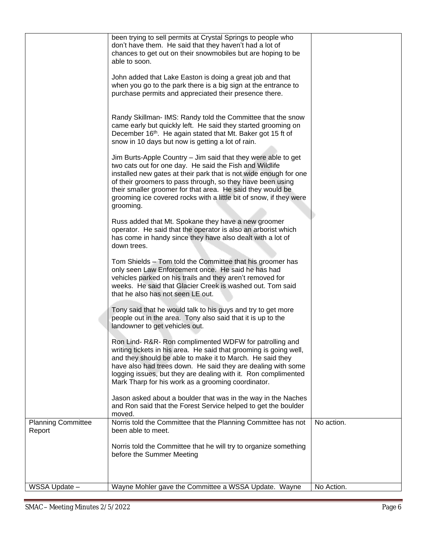|                                     | been trying to sell permits at Crystal Springs to people who<br>don't have them. He said that they haven't had a lot of<br>chances to get out on their snowmobiles but are hoping to be<br>able to soon.                                                                                                                                                                                                     |            |
|-------------------------------------|--------------------------------------------------------------------------------------------------------------------------------------------------------------------------------------------------------------------------------------------------------------------------------------------------------------------------------------------------------------------------------------------------------------|------------|
|                                     | John added that Lake Easton is doing a great job and that<br>when you go to the park there is a big sign at the entrance to<br>purchase permits and appreciated their presence there.                                                                                                                                                                                                                        |            |
|                                     | Randy Skillman- IMS: Randy told the Committee that the snow<br>came early but quickly left. He said they started grooming on<br>December 16th. He again stated that Mt. Baker got 15 ft of<br>snow in 10 days but now is getting a lot of rain.                                                                                                                                                              |            |
|                                     | Jim Burts-Apple Country - Jim said that they were able to get<br>two cats out for one day. He said the Fish and Wildlife<br>installed new gates at their park that is not wide enough for one<br>of their groomers to pass through, so they have been using<br>their smaller groomer for that area. He said they would be<br>grooming ice covered rocks with a little bit of snow, if they were<br>grooming. |            |
|                                     | Russ added that Mt. Spokane they have a new groomer<br>operator. He said that the operator is also an arborist which<br>has come in handy since they have also dealt with a lot of<br>down trees.                                                                                                                                                                                                            |            |
|                                     | Tom Shields - Tom told the Committee that his groomer has<br>only seen Law Enforcement once. He said he has had<br>vehicles parked on his trails and they aren't removed for<br>weeks. He said that Glacier Creek is washed out. Tom said<br>that he also has not seen LE out.                                                                                                                               |            |
|                                     | Tony said that he would talk to his guys and try to get more<br>people out in the area. Tony also said that it is up to the<br>landowner to get vehicles out.                                                                                                                                                                                                                                                |            |
|                                     | Ron Lind- R&R- Ron complimented WDFW for patrolling and<br>writing tickets in his area. He said that grooming is going well,<br>and they should be able to make it to March. He said they<br>have also had trees down. He said they are dealing with some<br>logging issues, but they are dealing with it. Ron complimented<br>Mark Tharp for his work as a grooming coordinator.                            |            |
|                                     | Jason asked about a boulder that was in the way in the Naches<br>and Ron said that the Forest Service helped to get the boulder<br>moved.                                                                                                                                                                                                                                                                    |            |
| <b>Planning Committee</b><br>Report | Norris told the Committee that the Planning Committee has not<br>been able to meet.                                                                                                                                                                                                                                                                                                                          | No action. |
|                                     | Norris told the Committee that he will try to organize something<br>before the Summer Meeting                                                                                                                                                                                                                                                                                                                |            |
| WSSA Update -                       | Wayne Mohler gave the Committee a WSSA Update. Wayne                                                                                                                                                                                                                                                                                                                                                         | No Action. |
|                                     |                                                                                                                                                                                                                                                                                                                                                                                                              |            |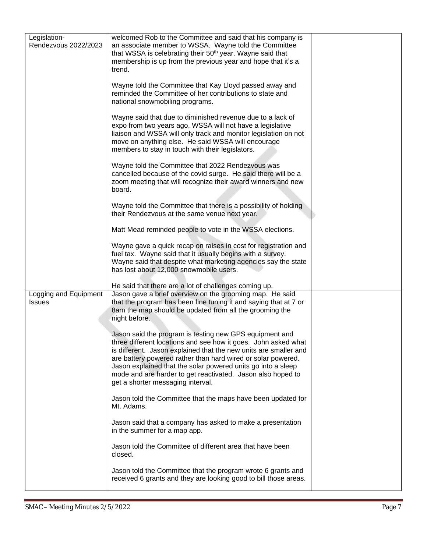| Legislation-<br>Rendezvous 2022/2023   | welcomed Rob to the Committee and said that his company is<br>an associate member to WSSA. Wayne told the Committee<br>that WSSA is celebrating their 50 <sup>th</sup> year. Wayne said that<br>membership is up from the previous year and hope that it's a<br>trend.                                                                                                                                                            |  |
|----------------------------------------|-----------------------------------------------------------------------------------------------------------------------------------------------------------------------------------------------------------------------------------------------------------------------------------------------------------------------------------------------------------------------------------------------------------------------------------|--|
|                                        | Wayne told the Committee that Kay Lloyd passed away and<br>reminded the Committee of her contributions to state and<br>national snowmobiling programs.                                                                                                                                                                                                                                                                            |  |
|                                        | Wayne said that due to diminished revenue due to a lack of<br>expo from two years ago, WSSA will not have a legislative<br>liaison and WSSA will only track and monitor legislation on not<br>move on anything else. He said WSSA will encourage<br>members to stay in touch with their legislators.                                                                                                                              |  |
|                                        | Wayne told the Committee that 2022 Rendezvous was<br>cancelled because of the covid surge. He said there will be a<br>zoom meeting that will recognize their award winners and new<br>board.                                                                                                                                                                                                                                      |  |
|                                        | Wayne told the Committee that there is a possibility of holding<br>their Rendezvous at the same venue next year.                                                                                                                                                                                                                                                                                                                  |  |
|                                        | Matt Mead reminded people to vote in the WSSA elections.                                                                                                                                                                                                                                                                                                                                                                          |  |
|                                        | Wayne gave a quick recap on raises in cost for registration and<br>fuel tax. Wayne said that it usually begins with a survey.<br>Wayne said that despite what marketing agencies say the state<br>has lost about 12,000 snowmobile users.                                                                                                                                                                                         |  |
|                                        | He said that there are a lot of challenges coming up.                                                                                                                                                                                                                                                                                                                                                                             |  |
| Logging and Equipment<br><b>Issues</b> | Jason gave a brief overview on the grooming map. He said<br>that the program has been fine tuning it and saying that at 7 or<br>8am the map should be updated from all the grooming the<br>night before.                                                                                                                                                                                                                          |  |
|                                        | Jason said the program is testing new GPS equipment and<br>three different locations and see how it goes. John asked what<br>is different. Jason explained that the new units are smaller and<br>are battery powered rather than hard wired or solar powered.<br>Jason explained that the solar powered units go into a sleep<br>mode and are harder to get reactivated. Jason also hoped to<br>get a shorter messaging interval. |  |
|                                        | Jason told the Committee that the maps have been updated for<br>Mt. Adams.                                                                                                                                                                                                                                                                                                                                                        |  |
|                                        | Jason said that a company has asked to make a presentation<br>in the summer for a map app.                                                                                                                                                                                                                                                                                                                                        |  |
|                                        | Jason told the Committee of different area that have been<br>closed.                                                                                                                                                                                                                                                                                                                                                              |  |
|                                        | Jason told the Committee that the program wrote 6 grants and<br>received 6 grants and they are looking good to bill those areas.                                                                                                                                                                                                                                                                                                  |  |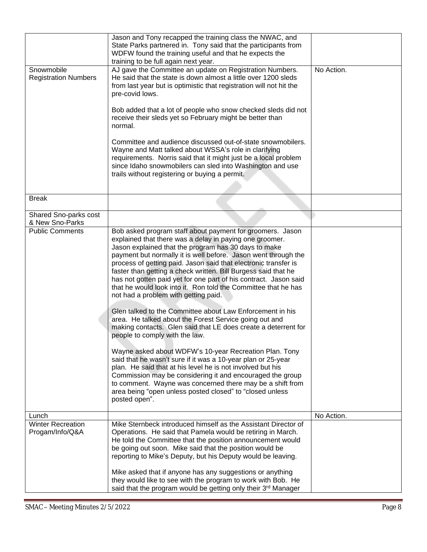|                                             | Jason and Tony recapped the training class the NWAC, and<br>State Parks partnered in. Tony said that the participants from<br>WDFW found the training useful and that he expects the<br>training to be full again next year.                                                                                                                                                                                                                                                                                                                                                                                                                                                                                                                                                                                                                                                                                                                                                                                                                                                                                                                                                                |            |
|---------------------------------------------|---------------------------------------------------------------------------------------------------------------------------------------------------------------------------------------------------------------------------------------------------------------------------------------------------------------------------------------------------------------------------------------------------------------------------------------------------------------------------------------------------------------------------------------------------------------------------------------------------------------------------------------------------------------------------------------------------------------------------------------------------------------------------------------------------------------------------------------------------------------------------------------------------------------------------------------------------------------------------------------------------------------------------------------------------------------------------------------------------------------------------------------------------------------------------------------------|------------|
| Snowmobile<br><b>Registration Numbers</b>   | AJ gave the Committee an update on Registration Numbers.<br>He said that the state is down almost a little over 1200 sleds<br>from last year but is optimistic that registration will not hit the<br>pre-covid lows.                                                                                                                                                                                                                                                                                                                                                                                                                                                                                                                                                                                                                                                                                                                                                                                                                                                                                                                                                                        | No Action. |
|                                             | Bob added that a lot of people who snow checked sleds did not<br>receive their sleds yet so February might be better than<br>normal.                                                                                                                                                                                                                                                                                                                                                                                                                                                                                                                                                                                                                                                                                                                                                                                                                                                                                                                                                                                                                                                        |            |
|                                             | Committee and audience discussed out-of-state snowmobilers.<br>Wayne and Matt talked about WSSA's role in clarifying<br>requirements. Norris said that it might just be a local problem<br>since Idaho snowmobilers can sled into Washington and use<br>trails without registering or buying a permit.                                                                                                                                                                                                                                                                                                                                                                                                                                                                                                                                                                                                                                                                                                                                                                                                                                                                                      |            |
| <b>Break</b>                                |                                                                                                                                                                                                                                                                                                                                                                                                                                                                                                                                                                                                                                                                                                                                                                                                                                                                                                                                                                                                                                                                                                                                                                                             |            |
| Shared Sno-parks cost<br>& New Sno-Parks    |                                                                                                                                                                                                                                                                                                                                                                                                                                                                                                                                                                                                                                                                                                                                                                                                                                                                                                                                                                                                                                                                                                                                                                                             |            |
| <b>Public Comments</b>                      | Bob asked program staff about payment for groomers. Jason<br>explained that there was a delay in paying one groomer.<br>Jason explained that the program has 30 days to make<br>payment but normally it is well before. Jason went through the<br>process of getting paid. Jason said that electronic transfer is<br>faster than getting a check written. Bill Burgess said that he<br>has not gotten paid yet for one part of his contract. Jason said<br>that he would look into it. Ron told the Committee that he has<br>not had a problem with getting paid.<br>Glen talked to the Committee about Law Enforcement in his<br>area. He talked about the Forest Service going out and<br>making contacts. Glen said that LE does create a deterrent for<br>people to comply with the law.<br>Wayne asked about WDFW's 10-year Recreation Plan. Tony<br>said that he wasn't sure if it was a 10-year plan or 25-year<br>plan. He said that at his level he is not involved but his<br>Commission may be considering it and encouraged the group<br>to comment. Wayne was concerned there may be a shift from<br>area being "open unless posted closed" to "closed unless<br>posted open". |            |
| Lunch                                       |                                                                                                                                                                                                                                                                                                                                                                                                                                                                                                                                                                                                                                                                                                                                                                                                                                                                                                                                                                                                                                                                                                                                                                                             | No Action. |
| <b>Winter Recreation</b><br>Progam/Info/Q&A | Mike Sternbeck introduced himself as the Assistant Director of<br>Operations. He said that Pamela would be retiring in March.<br>He told the Committee that the position announcement would<br>be going out soon. Mike said that the position would be<br>reporting to Mike's Deputy, but his Deputy would be leaving.                                                                                                                                                                                                                                                                                                                                                                                                                                                                                                                                                                                                                                                                                                                                                                                                                                                                      |            |
|                                             | Mike asked that if anyone has any suggestions or anything<br>they would like to see with the program to work with Bob. He<br>said that the program would be getting only their 3rd Manager                                                                                                                                                                                                                                                                                                                                                                                                                                                                                                                                                                                                                                                                                                                                                                                                                                                                                                                                                                                                  |            |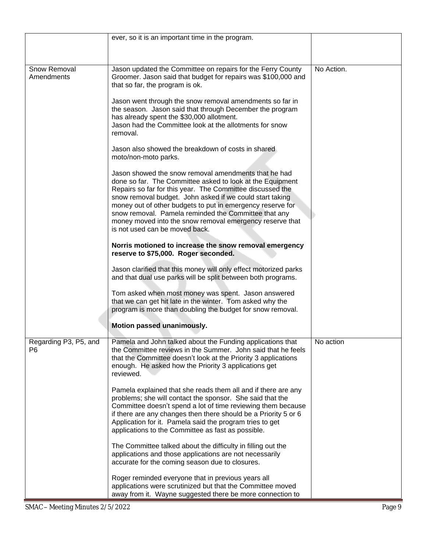|                                         | ever, so it is an important time in the program.                                                                                                                                                                                                                                                                                                                                                                                                               |            |
|-----------------------------------------|----------------------------------------------------------------------------------------------------------------------------------------------------------------------------------------------------------------------------------------------------------------------------------------------------------------------------------------------------------------------------------------------------------------------------------------------------------------|------------|
|                                         |                                                                                                                                                                                                                                                                                                                                                                                                                                                                |            |
|                                         |                                                                                                                                                                                                                                                                                                                                                                                                                                                                |            |
| Snow Removal<br>Amendments              | Jason updated the Committee on repairs for the Ferry County<br>Groomer. Jason said that budget for repairs was \$100,000 and<br>that so far, the program is ok.                                                                                                                                                                                                                                                                                                | No Action. |
|                                         | Jason went through the snow removal amendments so far in<br>the season. Jason said that through December the program<br>has already spent the \$30,000 allotment.<br>Jason had the Committee look at the allotments for snow<br>removal.                                                                                                                                                                                                                       |            |
|                                         | Jason also showed the breakdown of costs in shared<br>moto/non-moto parks.                                                                                                                                                                                                                                                                                                                                                                                     |            |
|                                         | Jason showed the snow removal amendments that he had<br>done so far. The Committee asked to look at the Equipment<br>Repairs so far for this year. The Committee discussed the<br>snow removal budget. John asked if we could start taking<br>money out of other budgets to put in emergency reserve for<br>snow removal. Pamela reminded the Committee that any<br>money moved into the snow removal emergency reserve that<br>is not used can be moved back. |            |
|                                         | Norris motioned to increase the snow removal emergency<br>reserve to \$75,000. Roger seconded.                                                                                                                                                                                                                                                                                                                                                                 |            |
|                                         | Jason clarified that this money will only effect motorized parks<br>and that dual use parks will be split between both programs.                                                                                                                                                                                                                                                                                                                               |            |
|                                         | Tom asked when most money was spent. Jason answered<br>that we can get hit late in the winter. Tom asked why the<br>program is more than doubling the budget for snow removal.                                                                                                                                                                                                                                                                                 |            |
|                                         | Motion passed unanimously.                                                                                                                                                                                                                                                                                                                                                                                                                                     |            |
| Regarding P3, P5, and<br>P <sub>6</sub> | Pamela and John talked about the Funding applications that<br>the Committee reviews in the Summer. John said that he feels<br>that the Committee doesn't look at the Priority 3 applications<br>enough. He asked how the Priority 3 applications get<br>reviewed.                                                                                                                                                                                              | No action  |
|                                         | Pamela explained that she reads them all and if there are any<br>problems; she will contact the sponsor. She said that the<br>Committee doesn't spend a lot of time reviewing them because<br>if there are any changes then there should be a Priority 5 or 6<br>Application for it. Pamela said the program tries to get<br>applications to the Committee as fast as possible.                                                                                |            |
|                                         | The Committee talked about the difficulty in filling out the<br>applications and those applications are not necessarily<br>accurate for the coming season due to closures.                                                                                                                                                                                                                                                                                     |            |
|                                         | Roger reminded everyone that in previous years all<br>applications were scrutinized but that the Committee moved<br>away from it. Wayne suggested there be more connection to                                                                                                                                                                                                                                                                                  |            |
| SMAC - Meeting Minutes 2/5/2022         |                                                                                                                                                                                                                                                                                                                                                                                                                                                                | Page 9     |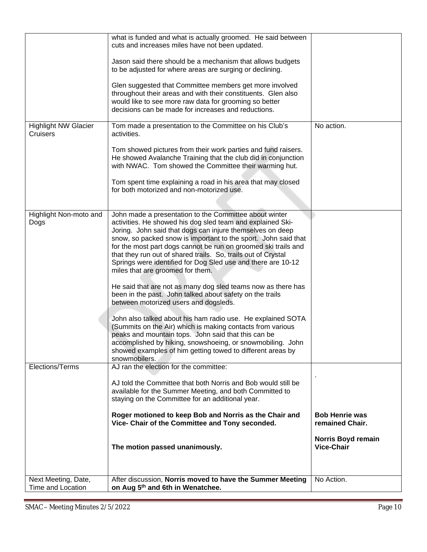|                                                | what is funded and what is actually groomed. He said between                                                                                                                                                                                                                                                                                                                                                                                                                                                                                                                                                           |                                                |
|------------------------------------------------|------------------------------------------------------------------------------------------------------------------------------------------------------------------------------------------------------------------------------------------------------------------------------------------------------------------------------------------------------------------------------------------------------------------------------------------------------------------------------------------------------------------------------------------------------------------------------------------------------------------------|------------------------------------------------|
|                                                | cuts and increases miles have not been updated.                                                                                                                                                                                                                                                                                                                                                                                                                                                                                                                                                                        |                                                |
|                                                | Jason said there should be a mechanism that allows budgets<br>to be adjusted for where areas are surging or declining.                                                                                                                                                                                                                                                                                                                                                                                                                                                                                                 |                                                |
|                                                | Glen suggested that Committee members get more involved<br>throughout their areas and with their constituents. Glen also<br>would like to see more raw data for grooming so better<br>decisions can be made for increases and reductions.                                                                                                                                                                                                                                                                                                                                                                              |                                                |
| <b>Highlight NW Glacier</b><br><b>Cruisers</b> | Tom made a presentation to the Committee on his Club's<br>activities.                                                                                                                                                                                                                                                                                                                                                                                                                                                                                                                                                  | No action.                                     |
|                                                | Tom showed pictures from their work parties and fund raisers.<br>He showed Avalanche Training that the club did in conjunction<br>with NWAC. Tom showed the Committee their warming hut.                                                                                                                                                                                                                                                                                                                                                                                                                               |                                                |
|                                                | Tom spent time explaining a road in his area that may closed<br>for both motorized and non-motorized use.                                                                                                                                                                                                                                                                                                                                                                                                                                                                                                              |                                                |
| Highlight Non-moto and<br>Dogs                 | John made a presentation to the Committee about winter<br>activities. He showed his dog sled team and explained Ski-<br>Joring. John said that dogs can injure themselves on deep<br>snow, so packed snow is important to the sport. John said that<br>for the most part dogs cannot be run on groomed ski trails and<br>that they run out of shared trails. So, trails out of Crystal<br>Springs were identified for Dog Sled use and there are 10-12<br>miles that are groomed for them.<br>He said that are not as many dog sled teams now as there has<br>been in the past. John talked about safety on the trails |                                                |
|                                                | between motorized users and dogsleds.<br>John also talked about his ham radio use. He explained SOTA<br>(Summits on the Air) which is making contacts from various<br>peaks and mountain tops. John said that this can be<br>accomplished by hiking, snowshoeing, or snowmobiling. John<br>showed examples of him getting towed to different areas by<br>snowmobilers.                                                                                                                                                                                                                                                 |                                                |
| Elections/Terms                                | AJ ran the election for the committee:                                                                                                                                                                                                                                                                                                                                                                                                                                                                                                                                                                                 |                                                |
|                                                | AJ told the Committee that both Norris and Bob would still be<br>available for the Summer Meeting, and both Committed to<br>staying on the Committee for an additional year.                                                                                                                                                                                                                                                                                                                                                                                                                                           |                                                |
|                                                | Roger motioned to keep Bob and Norris as the Chair and<br>Vice- Chair of the Committee and Tony seconded.                                                                                                                                                                                                                                                                                                                                                                                                                                                                                                              | <b>Bob Henrie was</b><br>remained Chair.       |
|                                                | The motion passed unanimously.                                                                                                                                                                                                                                                                                                                                                                                                                                                                                                                                                                                         | <b>Norris Boyd remain</b><br><b>Vice-Chair</b> |
| Next Meeting, Date,                            | After discussion, Norris moved to have the Summer Meeting                                                                                                                                                                                                                                                                                                                                                                                                                                                                                                                                                              | No Action.                                     |
| <b>Time and Location</b>                       | on Aug 5th and 6th in Wenatchee.                                                                                                                                                                                                                                                                                                                                                                                                                                                                                                                                                                                       |                                                |